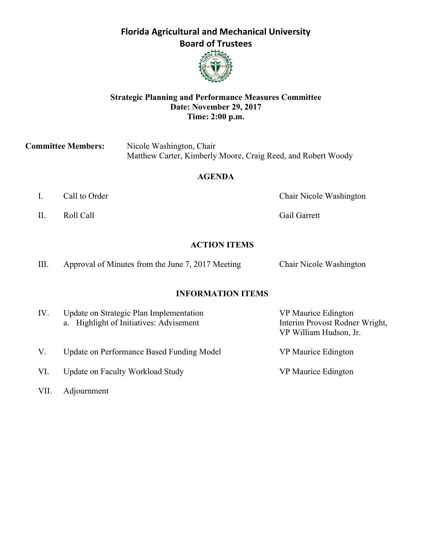## **Florida Agricultural and Mechanical University Board of Trustees**



### **Strategic Planning and Performance Measures Committee Date: November 29, 2017 Time: 2:00 p.m.**

**Committee Members:** Nicole Washington, Chair Matthew Carter, Kimberly Moore, Craig Reed, and Robert Woody

### **AGENDA**

- 
- II. Roll Call Gail Garrett

I. Call to Order Chair Nicole Washington

#### **ACTION ITEMS**

| Ш. | Approval of Minutes from the June 7, 2017 Meeting |  | Chair Nicole Washington |
|----|---------------------------------------------------|--|-------------------------|
|----|---------------------------------------------------|--|-------------------------|

#### **INFORMATION ITEMS**

| IV. | Update on Strategic Plan Implementation<br>a. Highlight of Initiatives: Advisement | VP Maurice Edington<br>Interim Provost Rodner Wright,<br>VP William Hudson, Jr. |
|-----|------------------------------------------------------------------------------------|---------------------------------------------------------------------------------|
| V.  | Update on Performance Based Funding Model                                          | VP Maurice Edington                                                             |
| VI. | Update on Faculty Workload Study                                                   | VP Maurice Edington                                                             |

VII. Adjournment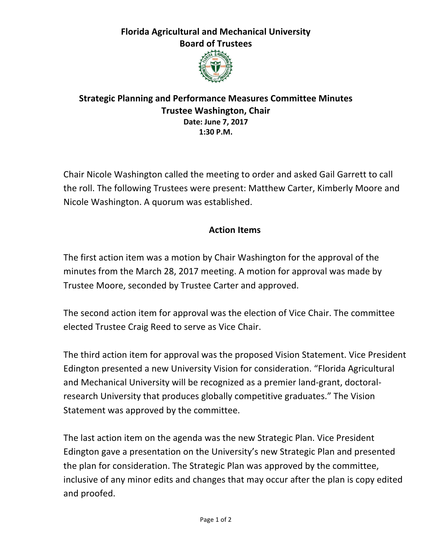# **Florida Agricultural and Mechanical University Board of Trustees**



## **Strategic Planning and Performance Measures Committee Minutes Trustee Washington, Chair Date: June 7, 2017 1:30 P.M.**

Chair Nicole Washington called the meeting to order and asked Gail Garrett to call the roll. The following Trustees were present: Matthew Carter, Kimberly Moore and Nicole Washington. A quorum was established.

# **Action Items**

The first action item was a motion by Chair Washington for the approval of the minutes from the March 28, 2017 meeting. A motion for approval was made by Trustee Moore, seconded by Trustee Carter and approved.

The second action item for approval was the election of Vice Chair. The committee elected Trustee Craig Reed to serve as Vice Chair.

The third action item for approval was the proposed Vision Statement. Vice President Edington presented a new University Vision for consideration. "Florida Agricultural and Mechanical University will be recognized as a premier land-grant, doctoralresearch University that produces globally competitive graduates." The Vision Statement was approved by the committee.

The last action item on the agenda was the new Strategic Plan. Vice President Edington gave a presentation on the University's new Strategic Plan and presented the plan for consideration. The Strategic Plan was approved by the committee, inclusive of any minor edits and changes that may occur after the plan is copy edited and proofed.